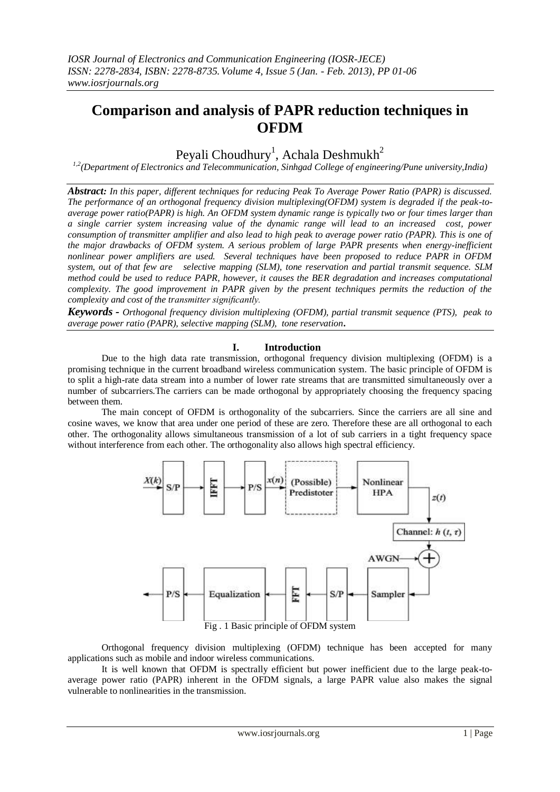# **Comparison and analysis of PAPR reduction techniques in OFDM**

## Peyali Choudhury<sup>1</sup>, Achala Deshmukh<sup>2</sup>

*1,2(Department of Electronics and Telecommunication, Sinhgad College of engineering/Pune university,India)*

*Abstract: In this paper, different techniques for reducing Peak To Average Power Ratio (PAPR) is discussed. The performance of an orthogonal frequency division multiplexing(OFDM) system is degraded if the peak-toaverage power ratio(PAPR) is high. An OFDM system dynamic range is typically two or four times larger than a single carrier system increasing value of the dynamic range will lead to an increased cost, power consumption of transmitter amplifier and also lead to high peak to average power ratio (PAPR). This is one of the major drawbacks of OFDM system. A serious problem of large PAPR presents when energy-inefficient nonlinear power amplifiers are used. Several techniques have been proposed to reduce PAPR in OFDM system, out of that few are selective mapping (SLM), tone reservation and partial transmit sequence. SLM method could be used to reduce PAPR, however, it causes the BER degradation and increases computational complexity. The good improvement in PAPR given by the present techniques permits the reduction of the complexity and cost of the transmitter significantly.*

*Keywords - Orthogonal frequency division multiplexing (OFDM), partial transmit sequence (PTS), peak to average power ratio (PAPR), selective mapping (SLM), tone reservation***.**

## **I. Introduction**

Due to the high data rate transmission, orthogonal frequency division multiplexing (OFDM) is a promising technique in the current broadband wireless communication system. The basic principle of OFDM is to split a high-rate data stream into a number of lower rate streams that are transmitted simultaneously over a number of subcarriers.The carriers can be made orthogonal by appropriately choosing the frequency spacing between them.

The main concept of OFDM is orthogonality of the subcarriers. Since the carriers are all sine and cosine waves, we know that area under one period of these are zero. Therefore these are all orthogonal to each other. The orthogonality allows simultaneous transmission of a lot of sub carriers in a tight frequency space without interference from each other. The orthogonality also allows high spectral efficiency.



Orthogonal frequency division multiplexing (OFDM) technique has been accepted for many applications such as mobile and indoor wireless communications.

It is well known that OFDM is spectrally efficient but power inefficient due to the large peak-toaverage power ratio (PAPR) inherent in the OFDM signals, a large PAPR value also makes the signal vulnerable to nonlinearities in the transmission.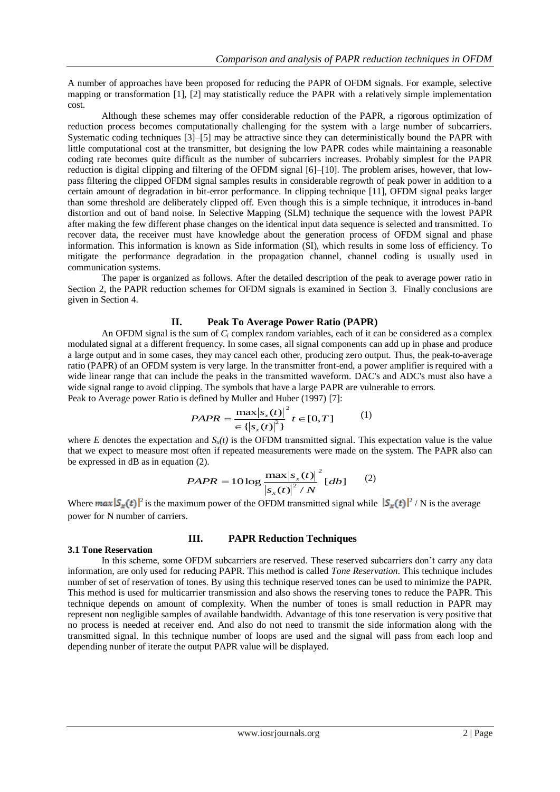A number of approaches have been proposed for reducing the PAPR of OFDM signals. For example, selective mapping or transformation [1], [2] may statistically reduce the PAPR with a relatively simple implementation cost.

Although these schemes may offer considerable reduction of the PAPR, a rigorous optimization of reduction process becomes computationally challenging for the system with a large number of subcarriers. Systematic coding techniques [3]–[5] may be attractive since they can deterministically bound the PAPR with little computational cost at the transmitter, but designing the low PAPR codes while maintaining a reasonable coding rate becomes quite difficult as the number of subcarriers increases. Probably simplest for the PAPR reduction is digital clipping and filtering of the OFDM signal [6]–[10]. The problem arises, however, that lowpass filtering the clipped OFDM signal samples results in considerable regrowth of peak power in addition to a certain amount of degradation in bit-error performance. In clipping technique [11], OFDM signal peaks larger than some threshold are deliberately clipped off. Even though this is a simple technique, it introduces in-band distortion and out of band noise. In Selective Mapping (SLM) technique the sequence with the lowest PAPR after making the few different phase changes on the identical input data sequence is selected and transmitted. To recover data, the receiver must have knowledge about the generation process of OFDM signal and phase information. This information is known as Side information (SI), which results in some loss of efficiency. To mitigate the performance degradation in the propagation channel, channel coding is usually used in communication systems.

The paper is organized as follows. After the detailed description of the peak to average power ratio in Section 2, the PAPR reduction schemes for OFDM signals is examined in Section 3. Finally conclusions are given in Section 4.

## **II. Peak To Average Power Ratio (PAPR)**

An OFDM signal is the sum of  $C_i$  complex random variables, each of it can be considered as a complex modulated signal at a different frequency. In some cases, all signal components can add up in phase and produce a large output and in some cases, they may cancel each other, producing zero output. Thus, the peak-to-average ratio (PAPR) of an OFDM system is very large. In the transmitter front-end, a power amplifier is required with a wide linear range that can include the peaks in the transmitted waveform. DAC's and ADC's must also have a wide signal range to avoid clipping. The symbols that have a large PAPR are vulnerable to errors. Peak to Average power Ratio is defined by Muller and Huber (1997) [7]:

$$
PAPR = \frac{\max |s_x(t)|^2}{\in \{|s_x(t)|^2\}} t \in [0, T]
$$
 (1)

where  $E$  denotes the expectation and  $S_x(t)$  is the OFDM transmitted signal. This expectation value is the value that we expect to measure most often if repeated measurements were made on the system. The PAPR also can be expressed in dB as in equation (2).

$$
PAPR = 10 \log \frac{\max |s_{x}(t)|^{2}}{|s_{x}(t)|^{2} / N} [db] \qquad (2)
$$

Where  $max|S_x(t)|^2$  is the maximum power of the OFDM transmitted signal while  $|S_x(t)|^2/N$  is the average power for N number of carriers.

### **3.1 Tone Reservation**

### **III. PAPR Reduction Techniques**

In this scheme, some OFDM subcarriers are reserved. These reserved subcarriers don't carry any data information, are only used for reducing PAPR. This method is called *Tone Reservation*. This technique includes number of set of reservation of tones. By using this technique reserved tones can be used to minimize the PAPR. This method is used for multicarrier transmission and also shows the reserving tones to reduce the PAPR. This technique depends on amount of complexity. When the number of tones is small reduction in PAPR may represent non negligible samples of available bandwidth. Advantage of this tone reservation is very positive that no process is needed at receiver end. And also do not need to transmit the side information along with the transmitted signal. In this technique number of loops are used and the signal will pass from each loop and depending nunber of iterate the output PAPR value will be displayed.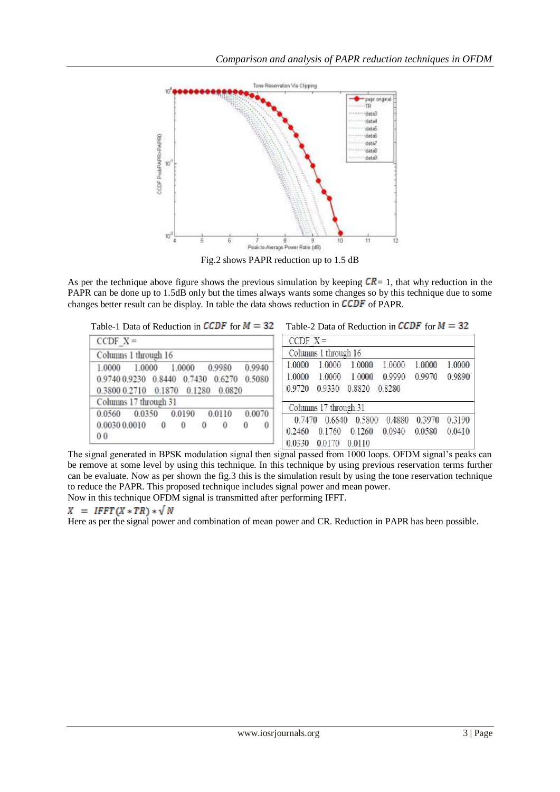

Fig.2 shows PAPR reduction up to 1.5 dB

As per the technique above figure shows the previous simulation by keeping  $\mathcal{CR}=1$ , that why reduction in the PAPR can be done up to 1.5dB only but the times always wants some changes so by this technique due to some changes better result can be display. In table the data shows reduction in  $\angle CDF$  of PAPR.

```
Table-1 Data of Reduction in CCDF for M = 32 Table-2 Data of Reduction in CCDF for M = 32
```

| $CCDF X =$                                                                                                                                | $CCDF X =$                                                                                                                                             |
|-------------------------------------------------------------------------------------------------------------------------------------------|--------------------------------------------------------------------------------------------------------------------------------------------------------|
| Columns 1 through 16                                                                                                                      | Columns 1 through 16                                                                                                                                   |
| 1.0000<br>0.9940<br>1.0000<br>0.9980<br>1.0000<br>0.9740 0.9230 0.8440 0.7430 0.6270 0.5080<br>0.3800 0.2710 0.1870 0.1280 0.0820         | 1,0000<br>1.0000 1.0000<br>1.0000<br>1,0000 1,0000<br>0.9890<br>0.9990<br>0.9970<br>1.0000<br>1.0000<br>1.0000<br>0.8820<br>0.9330<br>0.8280<br>0.9720 |
| Columns 17 through 31                                                                                                                     | Columns 17 through 31                                                                                                                                  |
| 0.0190<br>0.0070<br>0.0110<br>0.0350<br>0.0560<br>0.0030 0.0010<br>$\mathbf{0}$<br>$\Omega$<br>0<br>$\overline{0}$<br>$\theta$<br>0<br>00 | 0.7470 0.6640 0.5800 0.4880<br>0.3970 0.3190<br>0.0940<br>0.0580<br>0.1260<br>0.0410<br>0.1760<br>0.2460<br>0.0330<br>0.0170<br>0.0110                 |

The signal generated in BPSK modulation signal then signal passed from 1000 loops. OFDM signal's peaks can be remove at some level by using this technique. In this technique by using previous reservation terms further can be evaluate. Now as per shown the fig.3 this is the simulation result by using the tone reservation technique to reduce the PAPR. This proposed technique includes signal power and mean power.

Now in this technique OFDM signal is transmitted after performing IFFT.

## $X = IFFT(X * TR) * \sqrt{N}$

Here as per the signal power and combination of mean power and CR. Reduction in PAPR has been possible.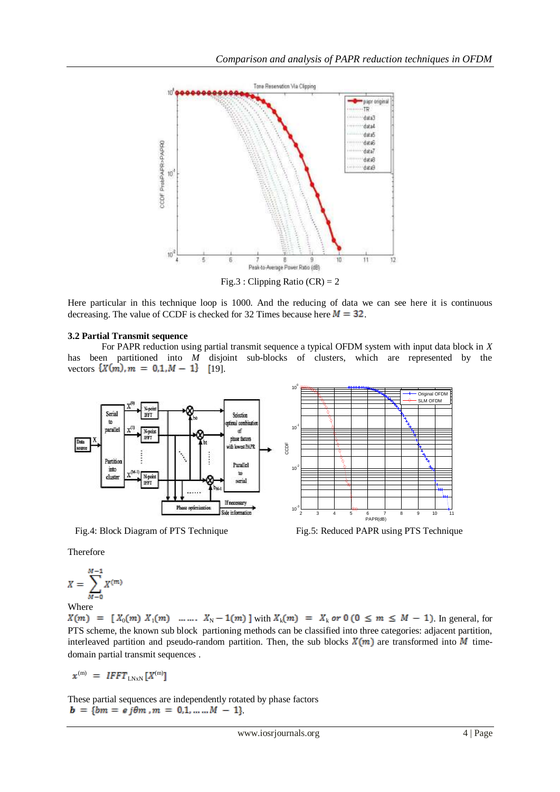

Here particular in this technique loop is 1000. And the reducing of data we can see here it is continuous decreasing. The value of CCDF is checked for 32 Times because here  $M = 32$ .

## **3.2 Partial Transmit sequence**

For PAPR reduction using partial transmit sequence a typical OFDM system with input data block in *X* has been partitioned into *M* disjoint sub-blocks of clusters, which are represented by the vectors  $\{X(m), m = 0, 1, M - 1\}$  [19].



Fig.4: Block Diagram of PTS Technique Fig.5: Reduced PAPR using PTS Technique

Therefore

$$
X = \sum_{M=0}^{M-1} X^{(m)}
$$

Where

 $X(m) = [X_0(m) X_1(m) \dots X_N - 1(m)]$  with  $X_k(m) = X_k$  or  $0 (0 \le m \le M - 1)$ . In general, for PTS scheme, the known sub block partioning methods can be classified into three categories: adjacent partition, interleaved partition and pseudo-random partition. Then, the sub blocks  $X(m)$  are transformed into M timedomain partial transmit sequences .

 $\mathcal{L}^{(m)}$  = IFFT<sub>LNxN</sub> [X<sup>(m)</sup>

These partial sequences are independently rotated by phase factors  $$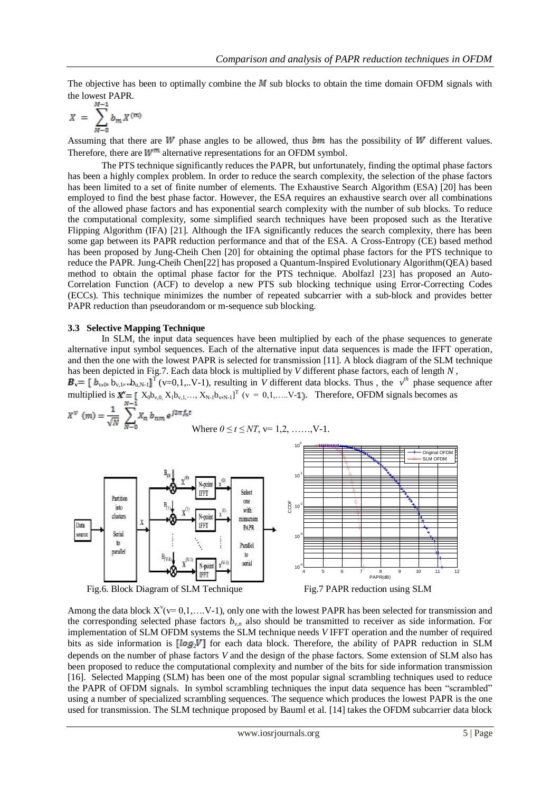The objective has been to optimally combine the  $\vec{M}$  sub blocks to obtain the time domain OFDM signals with the lowest PAPR.

$$
X = \sum_{M=0}^{M-1} b_m X^{(m)}
$$

Assuming that there are  $W$  phase angles to be allowed, thus  $bm$  has the possibility of  $W$  different values. Therefore, there are  $W^m$  alternative representations for an OFDM symbol.

The PTS technique significantly reduces the PAPR, but unfortunately, finding the optimal phase factors has been a highly complex problem. In order to reduce the search complexity, the selection of the phase factors has been limited to a set of finite number of elements. The Exhaustive Search Algorithm (ESA) [20] has been employed to find the best phase factor. However, the ESA requires an exhaustive search over all combinations of the allowed phase factors and has exponential search complexity with the number of sub blocks. To reduce the computational complexity, some simplified search techniques have been proposed such as the Iterative Flipping Algorithm (IFA) [21]. Although the IFA significantly reduces the search complexity, there has been some gap between its PAPR reduction performance and that of the ESA. A Cross-Entropy (CE) based method has been proposed by Jung-Cheih Chen [20] for obtaining the optimal phase factors for the PTS technique to reduce the PAPR. Jung-Cheih Chen[22] has proposed a Quantum-Inspired Evolutionary Algorithm(QEA) based method to obtain the optimal phase factor for the PTS technique. Abolfazl [23] has proposed an Auto-Correlation Function (ACF) to develop a new PTS sub blocking technique using Error-Correcting Codes (ECCs). This technique minimizes the number of repeated subcarrier with a sub-block and provides better PAPR reduction than pseudorandom or m-sequence sub blocking.

#### **3.3 Selective Mapping Technique**

In SLM, the input data sequences have been multiplied by each of the phase sequences to generate alternative input symbol sequences. Each of the alternative input data sequences is made the IFFT operation, and then the one with the lowest PAPR is selected for transmission [11]. A block diagram of the SLM technique has been depicted in Fig.7. Each data block is multiplied by *V* different phase factors, each of length *N* ,

 $\mathbf{v} = [\mathbf{b}_{\mathbf{v},0} \mathbf{b}_{\mathbf{v},1} \mathbf{b}_{\mathbf{u},N-1}]^T$  (v=0,1,..V-1), resulting in *V* different data blocks. Thus , the  $v^{\prime h}$  phase sequence after multiplied is  $\mathbf{X}^{\mathbf{v}} = [\mathbf{X}_0 \mathbf{b}_{\mathbf{v},0}, \mathbf{X}_1 \mathbf{b}_{\mathbf{v},1}, \dots, \mathbf{X}_{N-1} \mathbf{b}_{\mathbf{v},N-1}]^T$  ( $\mathbf{v} = 0,1,...,V-1$ ). Therefore, OFDM signals becomes as

$$
X^{\nu} \text{ (m)} = \frac{1}{\sqrt{N}} \sum_{N=0}^{N-1} X_n b_{nm} e^{j2\pi f_n t}
$$
\nWhere  $0 \le t \le NT$ ,  $v = 1, 2, \ldots, V-1$ .\n\n
$$
\frac{B_{00}}{\text{which of the number of numbers } N} = \frac{1}{\sqrt{N}} \sum_{\substack{N \text{ point} \\ N \text{ point} \\ N \text{ point} \\ N \text{ point}}} \frac{B_0}{N} \sum_{\substack{N \text{ point} \\ N \text{ point} \\ N \text{ point} \\ N \text{ point} \\ N \text{ point} \\ N \text{ point} \\ N \text{ point} \\ N \text{ point} \\ N \text{ point} \\ N \text{ point} \\ N \text{ point} \\ N \text{ point} \\ N \text{ point} \\ N \text{ point} \\ N \text{ point} \\ N \text{ point} \\ N \text{ point} \\ N \text{ point} \\ N \text{ point} \\ N \text{ point} \\ N \text{ point} \\ N \text{ point} \\ N \text{ point} \\ N \text{ point} \\ N \text{ point} \\ N \text{ point} \\ N \text{ point} \\ N \text{ point} \\ N \text{ point} \\ N \text{ point} \\ N \text{ point} \\ N \text{ point} \\ N \text{ point} \\ N \text{ point} \\ N \text{ point} \\ N \text{ point} \\ N \text{ point} \\ N \text{ point} \\ N \text{ point} \\ N \text{ point} \\ N \text{ point} \\ N \text{ point} \\ N \text{ point} \\ N \text{ point} \\ N \text{ point} \\ N \text{ point} \\ N \text{ point} \\ N \text{ point} \\ N \text{ point} \\ N \text{ point} \\ N \text{ point} \\ N \text{ point} \\ N \text{ point} \\ N \text{ point} \\ N \text{ point} \\ N \text{ point} \\ N \text{ point} \\ N \text{ point} \\ N \text{ point} \\ N \text{ point} \\ N \text{ point} \\ N \text{ point} \\ N \text{ point} \\ N \text{ point} \\ N \text{ point} \\ N \text{ point} \\ N \text{ point} \\ N \text{ point} \\ N \text{ point} \\ N \text{ point} \\ N \text{ point} \\ N \text{ point} \\ N \text{ point} \\ N \text{ point} \\ N \text{ point} \\ N \text{ point} \\ N \text{ point} \\ N \text{ point} \\ N \text{ point} \\ N \text{ point} \\ N \text{ point} \\ N \text{ point} \\ N \text{ point} \\ N \
$$

Fig.6. Block Diagram of SLM Technique Fig.7 PAPR reduction using SLM

Among the data block  $X^{\nu}(v=0,1,...V-1)$ , only one with the lowest PAPR has been selected for transmission and the corresponding selected phase factors  $b_{v,n}$  also should be transmitted to receiver as side information. For implementation of SLM OFDM systems the SLM technique needs *V* IFFT operation and the number of required bits as side information is  $[log_2 V]$  for each data block. Therefore, the ability of PAPR reduction in SLM depends on the number of phase factors *V* and the design of the phase factors. Some extension of SLM also has been proposed to reduce the computational complexity and number of the bits for side information transmission [16]. Selected Mapping (SLM) has been one of the most popular signal scrambling techniques used to reduce the PAPR of OFDM signals. In symbol scrambling techniques the input data sequence has been "scrambled" using a number of specialized scrambling sequences. The sequence which produces the lowest PAPR is the one used for transmission. The SLM technique proposed by Bauml et al. [14] takes the OFDM subcarrier data block